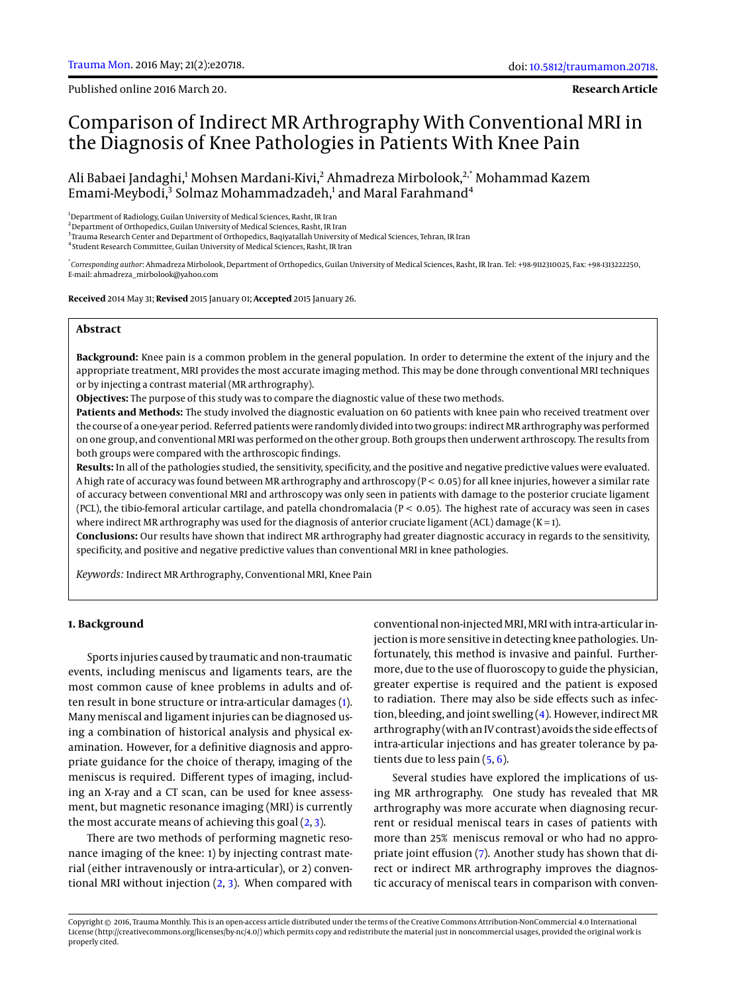Published online 2016 March 20.

**Research Article**

# Comparison of Indirect MR Arthrography With Conventional MRI in the Diagnosis of Knee Pathologies in Patients With Knee Pain

Ali Babaei Jandaghi,<sup>1</sup> Mohsen Mardani-Kivi,<sup>2</sup> Ahmadreza Mirbolook,<sup>2,\*</sup> Mohammad Kazem Emami-Meybodi,<sup>3</sup> Solmaz Mohammadzadeh,<sup>1</sup> and Maral Farahmand<sup>4</sup>

<sup>1</sup> Department of Radiology, Guilan University of Medical Sciences, Rasht, IR Iran

 $^2$ Department of Orthopedics, Guilan University of Medical Sciences, Rasht, IR Iran

 $^3$ Trauma Research Center and Department of Orthopedics, Baqiyatallah University of Medical Sciences, Tehran, IR Iran

4 Student Research Committee, Guilan University of Medical Sciences, Rasht, IR Iran

\* *Corresponding author*: Ahmadreza Mirbolook, Department of Orthopedics, Guilan University of Medical Sciences, Rasht, IR Iran. Tel: +98-9112310025, Fax: +98-1313222250, E-mail: ahmadreza\_mirbolook@yahoo.com

**Received** 2014 May 31; **Revised** 2015 January 01; **Accepted** 2015 January 26.

# **Abstract**

**Background:** Knee pain is a common problem in the general population. In order to determine the extent of the injury and the appropriate treatment, MRI provides the most accurate imaging method. This may be done through conventional MRI techniques or by injecting a contrast material (MR arthrography).

**Objectives:** The purpose of this study was to compare the diagnostic value of these two methods.

**Patients and Methods:** The study involved the diagnostic evaluation on 60 patients with knee pain who received treatment over the course of a one-year period. Referred patients were randomly divided into two groups: indirect MR arthrography was performed on one group, and conventional MRI was performed on the other group. Both groups then underwent arthroscopy. The results from both groups were compared with the arthroscopic findings.

**Results:** In all of the pathologies studied, the sensitivity, specificity, and the positive and negative predictive values were evaluated. A high rate of accuracy was found between MR arthrography and arthroscopy (P < 0.05) for all knee injuries, however a similar rate of accuracy between conventional MRI and arthroscopy was only seen in patients with damage to the posterior cruciate ligament (PCL), the tibio-femoral articular cartilage, and patella chondromalacia ( $P < 0.05$ ). The highest rate of accuracy was seen in cases where indirect MR arthrography was used for the diagnosis of anterior cruciate ligament (ACL) damage (K=1).

**Conclusions:** Our results have shown that indirect MR arthrography had greater diagnostic accuracy in regards to the sensitivity, specificity, and positive and negative predictive values than conventional MRI in knee pathologies.

*Keywords:* Indirect MR Arthrography, Conventional MRI, Knee Pain

## **1. Background**

Sports injuries caused by traumatic and non-traumatic events, including meniscus and ligaments tears, are the most common cause of knee problems in adults and often result in bone structure or intra-articular damages [\(1\)](#page-3-0). Many meniscal and ligament injuries can be diagnosed using a combination of historical analysis and physical examination. However, for a definitive diagnosis and appropriate guidance for the choice of therapy, imaging of the meniscus is required. Different types of imaging, including an X-ray and a CT scan, can be used for knee assessment, but magnetic resonance imaging (MRI) is currently the most accurate means of achieving this goal [\(2,](#page-3-1) [3\)](#page-3-2).

There are two methods of performing magnetic resonance imaging of the knee: 1) by injecting contrast material (either intravenously or intra-articular), or 2) conventional MRI without injection  $(2, 3)$  $(2, 3)$  $(2, 3)$ . When compared with

conventional non-injected MRI, MRI with intra-articular injection ismore sensitive in detecting knee pathologies. Unfortunately, this method is invasive and painful. Furthermore, due to the use of fluoroscopy to guide the physician, greater expertise is required and the patient is exposed to radiation. There may also be side effects such as infection, bleeding, and joint swelling  $(4)$ . However, indirect MR arthrography (with an IV contrast) avoids the side effects of intra-articular injections and has greater tolerance by patients due to less pain [\(5,](#page-4-1) [6\)](#page-4-2).

Several studies have explored the implications of using MR arthrography. One study has revealed that MR arthrography was more accurate when diagnosing recurrent or residual meniscal tears in cases of patients with more than 25% meniscus removal or who had no appropriate joint effusion [\(7\)](#page-4-3). Another study has shown that direct or indirect MR arthrography improves the diagnostic accuracy of meniscal tears in comparison with conven-

Copyright © 2016, Trauma Monthly. This is an open-access article distributed under the terms of the Creative Commons Attribution-NonCommercial 4.0 International License (http://creativecommons.org/licenses/by-nc/4.0/) which permits copy and redistribute the material just in noncommercial usages, provided the original work is properly cited.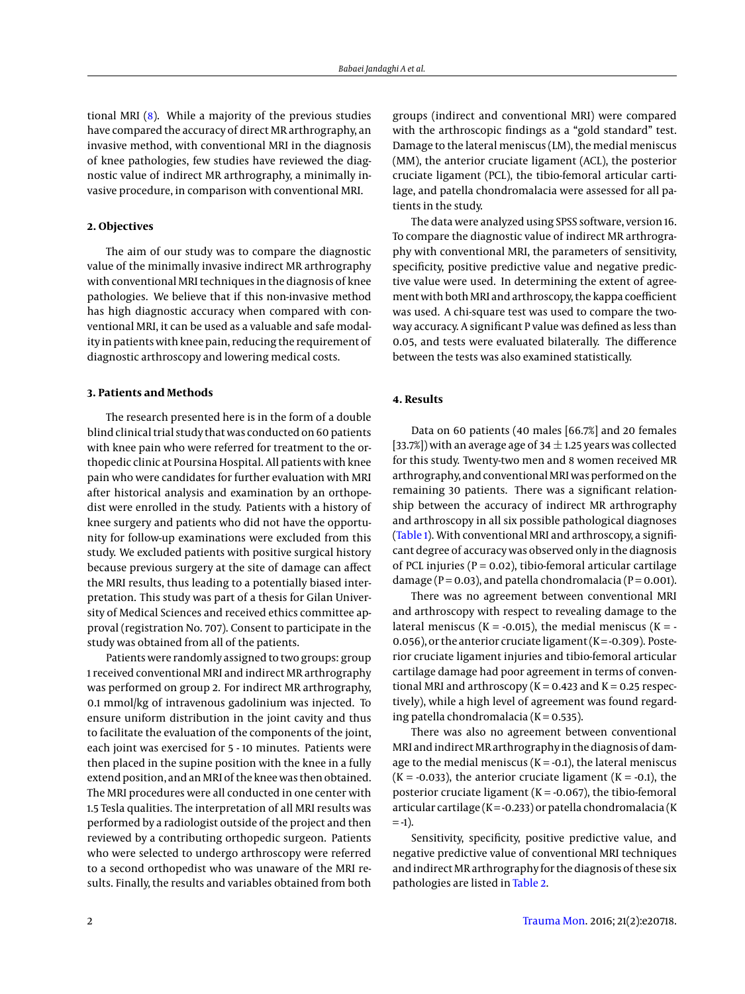tional MRI  $(8)$ . While a majority of the previous studies have compared the accuracy of direct MR arthrography, an invasive method, with conventional MRI in the diagnosis of knee pathologies, few studies have reviewed the diagnostic value of indirect MR arthrography, a minimally invasive procedure, in comparison with conventional MRI.

# **2. Objectives**

The aim of our study was to compare the diagnostic value of the minimally invasive indirect MR arthrography with conventional MRI techniques in the diagnosis of knee pathologies. We believe that if this non-invasive method has high diagnostic accuracy when compared with conventional MRI, it can be used as a valuable and safe modality in patients with knee pain, reducing the requirement of diagnostic arthroscopy and lowering medical costs.

#### **3. Patients and Methods**

The research presented here is in the form of a double blind clinical trial study that was conducted on 60 patients with knee pain who were referred for treatment to the orthopedic clinic at Poursina Hospital. All patients with knee pain who were candidates for further evaluation with MRI after historical analysis and examination by an orthopedist were enrolled in the study. Patients with a history of knee surgery and patients who did not have the opportunity for follow-up examinations were excluded from this study. We excluded patients with positive surgical history because previous surgery at the site of damage can affect the MRI results, thus leading to a potentially biased interpretation. This study was part of a thesis for Gilan University of Medical Sciences and received ethics committee approval (registration No. 707). Consent to participate in the study was obtained from all of the patients.

Patients were randomly assigned to two groups: group 1 received conventional MRI and indirect MR arthrography was performed on group 2. For indirect MR arthrography, 0.1 mmol/kg of intravenous gadolinium was injected. To ensure uniform distribution in the joint cavity and thus to facilitate the evaluation of the components of the joint, each joint was exercised for 5 - 10 minutes. Patients were then placed in the supine position with the knee in a fully extend position, and an MRI of the knee was then obtained. The MRI procedures were all conducted in one center with 1.5 Tesla qualities. The interpretation of all MRI results was performed by a radiologist outside of the project and then reviewed by a contributing orthopedic surgeon. Patients who were selected to undergo arthroscopy were referred to a second orthopedist who was unaware of the MRI results. Finally, the results and variables obtained from both groups (indirect and conventional MRI) were compared with the arthroscopic findings as a "gold standard" test. Damage to the lateral meniscus (LM), the medial meniscus (MM), the anterior cruciate ligament (ACL), the posterior cruciate ligament (PCL), the tibio-femoral articular cartilage, and patella chondromalacia were assessed for all patients in the study.

The data were analyzed using SPSS software, version 16. To compare the diagnostic value of indirect MR arthrography with conventional MRI, the parameters of sensitivity, specificity, positive predictive value and negative predictive value were used. In determining the extent of agreement with both MRI and arthroscopy, the kappa coefficient was used. A chi-square test was used to compare the twoway accuracy. A significant P value was defined as less than 0.05, and tests were evaluated bilaterally. The difference between the tests was also examined statistically.

## **4. Results**

Data on 60 patients (40 males [66.7%] and 20 females [33.7%]) with an average age of 34  $\pm$  1.25 years was collected for this study. Twenty-two men and 8 women received MR arthrography, and conventional MRI was performed on the remaining 30 patients. There was a significant relationship between the accuracy of indirect MR arthrography and arthroscopy in all six possible pathological diagnoses [\(Table 1\)](#page-2-0). With conventional MRI and arthroscopy, a significant degree of accuracy was observed only in the diagnosis of PCL injuries ( $P = 0.02$ ), tibio-femoral articular cartilage damage ( $P = 0.03$ ), and patella chondromalacia ( $P = 0.001$ ).

There was no agreement between conventional MRI and arthroscopy with respect to revealing damage to the lateral meniscus ( $K = -0.015$ ), the medial meniscus ( $K = -0.015$ ) 0.056), or the anterior cruciate ligament ( $K = -0.309$ ). Posterior cruciate ligament injuries and tibio-femoral articular cartilage damage had poor agreement in terms of conventional MRI and arthroscopy ( $K = 0.423$  and  $K = 0.25$  respectively), while a high level of agreement was found regarding patella chondromalacia ( $K = 0.535$ ).

There was also no agreement between conventional MRI and indirect MR arthrography in the diagnosis of damage to the medial meniscus  $(K = -0.1)$ , the lateral meniscus  $(K = -0.033)$ , the anterior cruciate ligament  $(K = -0.1)$ , the posterior cruciate ligament ( $K = -0.067$ ), the tibio-femoral articular cartilage ( $K = -0.233$ ) or patella chondromalacia (K  $= -1$ ).

Sensitivity, specificity, positive predictive value, and negative predictive value of conventional MRI techniques and indirect MR arthrography for the diagnosis of these six pathologies are listed in [Table 2.](#page-3-3)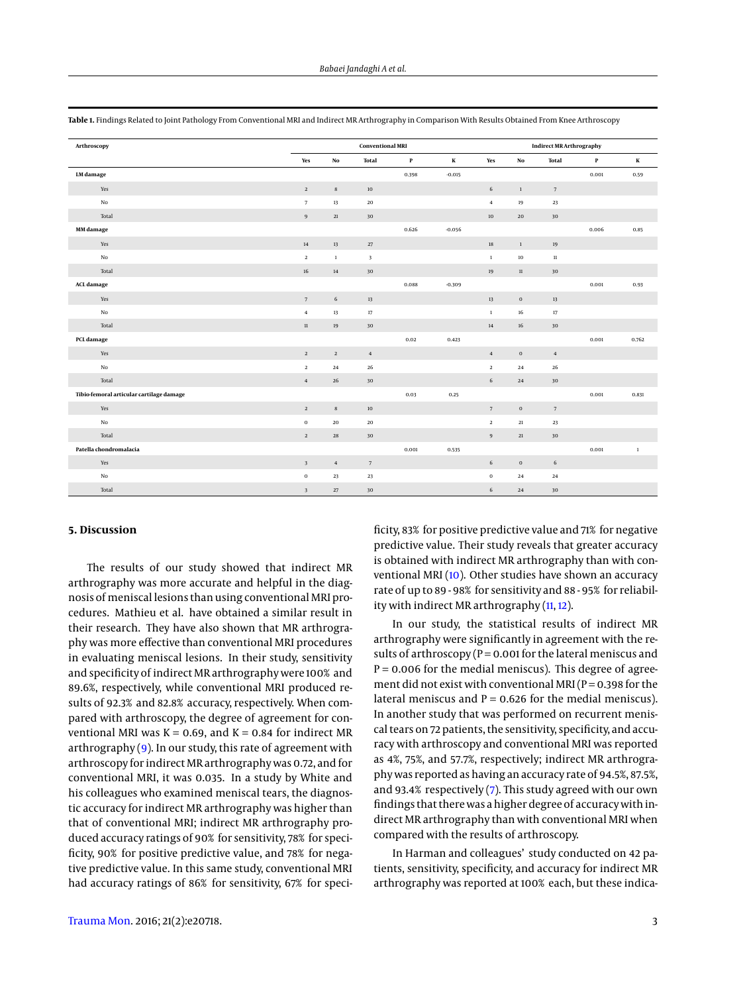| Arthroscopy                              |       | Conventional MRI        |                |                     |             |          | <b>Indirect MR Arthrography</b> |             |                     |             |         |
|------------------------------------------|-------|-------------------------|----------------|---------------------|-------------|----------|---------------------------------|-------------|---------------------|-------------|---------|
|                                          |       | Yes                     | $_{\rm No}$    | <b>Total</b>        | $\mathbf P$ | $\bf K$  | Yes                             | $_{\rm No}$ | <b>Total</b>        | $\mathbf P$ | $\bf K$ |
| LM damage                                |       |                         |                |                     | 0.398       | $-0.015$ |                                 |             |                     | 0.001       | 0.59    |
|                                          | Yes   | $\overline{2}$          | $\bf8$         | $10\,$              |             |          | $\sqrt{6}$                      | $1\,$       | $7\phantom{.0}$     |             |         |
|                                          | No    | $7\overline{ }$         | 13             | ${\bf 20}$          |             |          | $\overline{4}$                  | 19          | 23                  |             |         |
|                                          | Total | $\boldsymbol{9}$        | $21\,$         | 30                  |             |          | $10\,$                          | 20          | 30                  |             |         |
| MM damage                                |       |                         |                |                     | 0.626       | $-0.056$ |                                 |             |                     | 0.006       | 0.85    |
|                                          | Yes   | $14\,$                  | $13\,$         | $27\,$              |             |          | $18\,$                          | $\,1\,$     | 19                  |             |         |
|                                          | No    | $\overline{2}$          | $\mathbf{1}$   | $\mathbf{3}$        |             |          | $\,$ 1 $\,$                     | 10          | $11\,$              |             |         |
|                                          | Total | $16\,$                  | $14\,$         | 30                  |             |          | $19\,$                          | $11\,$      | $30\,$              |             |         |
| ACL damage                               |       |                         |                |                     | 0.088       | $-0.309$ |                                 |             |                     | 0.001       | 0.93    |
|                                          | Yes   | $\scriptstyle\rm 7$     | 6              | $13\,$              |             |          | $13\,$                          | $\bf{0}$    | 13                  |             |         |
|                                          | No    | $\overline{4}$          | $13\,$         | $17\,$              |             |          | $\,1\,$                         | 16          | $17\,$              |             |         |
|                                          | Total | $11\,$                  | 19             | 30                  |             |          | 14                              | 16          | 30                  |             |         |
| PCL damage                               |       |                         |                |                     | 0.02        | 0.423    |                                 |             |                     | 0.001       | 0.762   |
|                                          | Yes   | $\sqrt{2}$              | $\mathbf{2}$   | $\bf{4}$            |             |          | $\sqrt{4}$                      | $\mathbf 0$ | $\bf{4}$            |             |         |
|                                          | No    | $\overline{2}$          | 24             | $\bf 26$            |             |          | $\overline{2}$                  | 24          | ${\bf 26}$          |             |         |
|                                          | Total | $\,4\,$                 | $26\,$         | 30                  |             |          | $\sqrt{6}$                      | 24          | 30                  |             |         |
| Tibio-femoral articular cartilage damage |       |                         |                |                     | 0.03        | 0.25     |                                 |             |                     | 0.001       | 0.831   |
|                                          | Yes   | $\sqrt{2}$              | $\bf8$         | $10\,$              |             |          | $7\phantom{.0}$                 | $\bf{0}$    | $\scriptstyle\rm 7$ |             |         |
|                                          | No    | $\mathbf 0$             | $\bf{20}$      | ${\bf 20}$          |             |          | $\,2\,$                         | $21\,$      | 23                  |             |         |
|                                          | Total | $\overline{2}$          | 28             | 30                  |             |          | $\,9$                           | $21\,$      | 30                  |             |         |
| Patella chondromalacia                   |       |                         |                |                     | 0.001       | 0.535    |                                 |             |                     | 0.001       | $\,1\,$ |
|                                          | Yes   | $\overline{\mathbf{3}}$ | $\overline{4}$ | $\scriptstyle\rm 7$ |             |          | $\sqrt{6}$                      | $\bf{0}$    | 6                   |             |         |
|                                          | No    | $\bf{0}$                | 23             | 23                  |             |          | $\,0\,$                         | 24          | $\bf{^{24}}$        |             |         |
|                                          | Total | $\overline{\mathbf{3}}$ | $27\,$         | 30                  |             |          | $\sqrt{6}$                      | 24          | 30                  |             |         |

<span id="page-2-0"></span>**Table 1.** Findings Related to Joint Pathology From Conventional MRI and Indirect MR Arthrography in Comparison With Results Obtained From Knee Arthroscopy

## **5. Discussion**

The results of our study showed that indirect MR arthrography was more accurate and helpful in the diagnosis of meniscal lesions than using conventional MRI procedures. Mathieu et al. have obtained a similar result in their research. They have also shown that MR arthrography was more effective than conventional MRI procedures in evaluating meniscal lesions. In their study, sensitivity and specificity of indirect MR arthrography were 100% and 89.6%, respectively, while conventional MRI produced results of 92.3% and 82.8% accuracy, respectively. When compared with arthroscopy, the degree of agreement for conventional MRI was  $K = 0.69$ , and  $K = 0.84$  for indirect MR arthrography [\(9\)](#page-4-5). In our study, this rate of agreement with arthroscopy for indirect MR arthrography was 0.72, and for conventional MRI, it was 0.035. In a study by White and his colleagues who examined meniscal tears, the diagnostic accuracy for indirect MR arthrography was higher than that of conventional MRI; indirect MR arthrography produced accuracy ratings of 90% for sensitivity, 78% for specificity, 90% for positive predictive value, and 78% for negative predictive value. In this same study, conventional MRI had accuracy ratings of 86% for sensitivity, 67% for speci-

ficity, 83% for positive predictive value and 71% for negative predictive value. Their study reveals that greater accuracy is obtained with indirect MR arthrography than with conventional MRI [\(10\)](#page-4-6). Other studies have shown an accuracy rate of up to 89 - 98% for sensitivity and 88 - 95% for reliability with indirect MR arthrography [\(11,](#page-4-7) [12\)](#page-4-8).

In our study, the statistical results of indirect MR arthrography were significantly in agreement with the results of arthroscopy ( $P = 0.001$  for the lateral meniscus and  $P = 0.006$  for the medial meniscus). This degree of agreement did not exist with conventional MRI ( $P = 0.398$  for the lateral meniscus and  $P = 0.626$  for the medial meniscus). In another study that was performed on recurrent meniscal tears on 72 patients, the sensitivity, specificity, and accuracy with arthroscopy and conventional MRI was reported as 4%, 75%, and 57.7%, respectively; indirect MR arthrography was reported as having an accuracy rate of 94.5%, 87.5%, and 93.4% respectively [\(7\)](#page-4-3). This study agreed with our own findings that there was a higher degree of accuracy with indirect MR arthrography than with conventional MRI when compared with the results of arthroscopy.

In Harman and colleagues' study conducted on 42 patients, sensitivity, specificity, and accuracy for indirect MR arthrography was reported at 100% each, but these indica-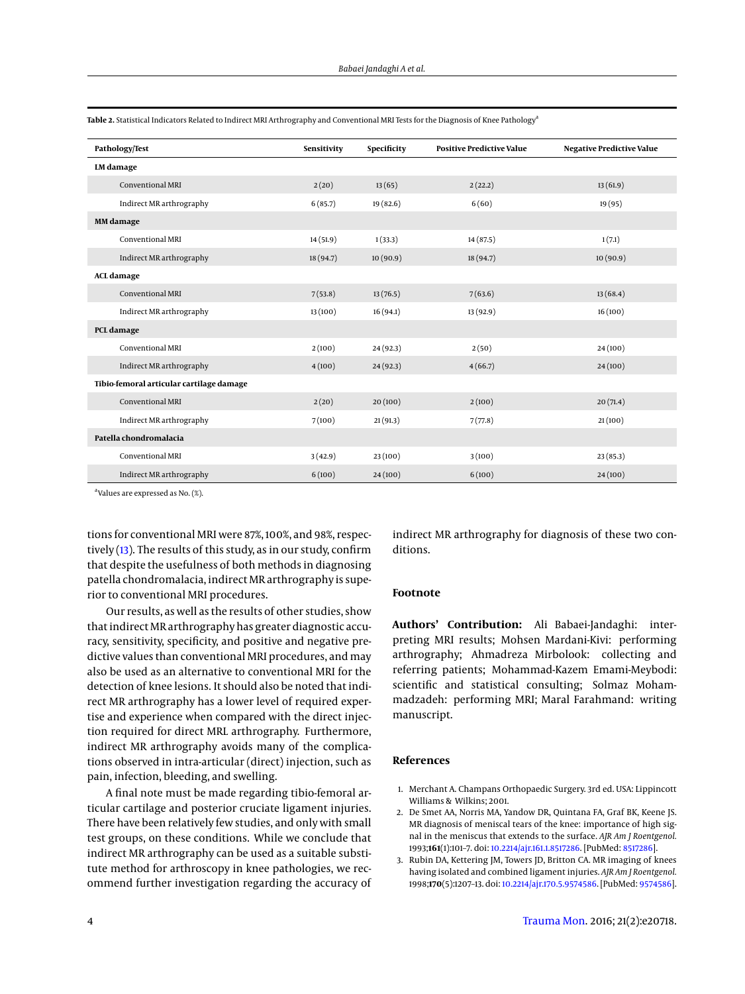| Pathology/Test                           | Sensitivity | Specificity | <b>Positive Predictive Value</b> | <b>Negative Predictive Value</b> |
|------------------------------------------|-------------|-------------|----------------------------------|----------------------------------|
| LM damage                                |             |             |                                  |                                  |
| Conventional MRI                         | 2(20)       | 13(65)      | 2(22.2)                          | 13(61.9)                         |
| Indirect MR arthrography                 | 6(85.7)     | 19(82.6)    | 6(60)                            | 19(95)                           |
| <b>MM</b> damage                         |             |             |                                  |                                  |
| Conventional MRI                         | 14(51.9)    | 1(33.3)     | 14(87.5)                         | 1(7.1)                           |
| Indirect MR arthrography                 | 18(94.7)    | 10(90.9)    | 18 (94.7)                        | 10(90.9)                         |
| <b>ACL</b> damage                        |             |             |                                  |                                  |
| Conventional MRI                         | 7(53.8)     | 13(76.5)    | 7(63.6)                          | 13(68.4)                         |
| Indirect MR arthrography                 | 13(100)     | 16(94.1)    | 13(92.9)                         | 16(100)                          |
| PCL damage                               |             |             |                                  |                                  |
| Conventional MRI                         | 2(100)      | 24(92.3)    | 2(50)                            | 24(100)                          |
| Indirect MR arthrography                 | 4(100)      | 24(92.3)    | 4(66.7)                          | 24(100)                          |
| Tibio-femoral articular cartilage damage |             |             |                                  |                                  |
| Conventional MRI                         | 2(20)       | 20(100)     | 2(100)                           | 20(71.4)                         |
| Indirect MR arthrography                 | 7(100)      | 21(91.3)    | 7(77.8)                          | 21(100)                          |
| Patella chondromalacia                   |             |             |                                  |                                  |
| Conventional MRI                         | 3(42.9)     | 23(100)     | 3(100)                           | 23(85.3)                         |
| Indirect MR arthrography                 | 6(100)      | 24(100)     | 6(100)                           | 24(100)                          |

<span id="page-3-3"></span>**Table 2.** Statistical Indicators Related to Indirect MRI Arthrography and Conventional MRI Tests for the Diagnosis of Knee Pathology<sup>a</sup>

a Values are expressed as No. (%).

tions for conventional MRI were 87%, 100%, and 98%, respectively  $(13)$ . The results of this study, as in our study, confirm that despite the usefulness of both methods in diagnosing patella chondromalacia, indirect MR arthrography is superior to conventional MRI procedures.

Our results, as well as the results of other studies, show that indirect MR arthrography has greater diagnostic accuracy, sensitivity, specificity, and positive and negative predictive values than conventional MRI procedures, and may also be used as an alternative to conventional MRI for the detection of knee lesions. It should also be noted that indirect MR arthrography has a lower level of required expertise and experience when compared with the direct injection required for direct MRL arthrography. Furthermore, indirect MR arthrography avoids many of the complications observed in intra-articular (direct) injection, such as pain, infection, bleeding, and swelling.

A final note must be made regarding tibio-femoral articular cartilage and posterior cruciate ligament injuries. There have been relatively few studies, and only with small test groups, on these conditions. While we conclude that indirect MR arthrography can be used as a suitable substitute method for arthroscopy in knee pathologies, we recommend further investigation regarding the accuracy of indirect MR arthrography for diagnosis of these two conditions.

## **Footnote**

**Authors' Contribution:** Ali Babaei-Jandaghi: interpreting MRI results; Mohsen Mardani-Kivi: performing arthrography; Ahmadreza Mirbolook: collecting and referring patients; Mohammad-Kazem Emami-Meybodi: scientific and statistical consulting; Solmaz Mohammadzadeh: performing MRI; Maral Farahmand: writing manuscript.

# **References**

- <span id="page-3-0"></span>1. Merchant A. Champans Orthopaedic Surgery. 3rd ed. USA: Lippincott Williams & Wilkins; 2001.
- <span id="page-3-1"></span>2. De Smet AA, Norris MA, Yandow DR, Quintana FA, Graf BK, Keene JS. MR diagnosis of meniscal tears of the knee: importance of high signal in the meniscus that extends to the surface. *AJR Am J Roentgenol.* 1993;**161**(1):101–7. doi: [10.2214/ajr.161.1.8517286.](http://dx.doi.org/10.2214/ajr.161.1.8517286) [PubMed: [8517286\]](http://www.ncbi.nlm.nih.gov/pubmed/8517286).
- <span id="page-3-2"></span>3. Rubin DA, Kettering JM, Towers JD, Britton CA. MR imaging of knees having isolated and combined ligament injuries. *AJR Am J Roentgenol.* 1998;**170**(5):1207–13. doi: [10.2214/ajr.170.5.9574586.](http://dx.doi.org/10.2214/ajr.170.5.9574586) [PubMed: [9574586\]](http://www.ncbi.nlm.nih.gov/pubmed/9574586).